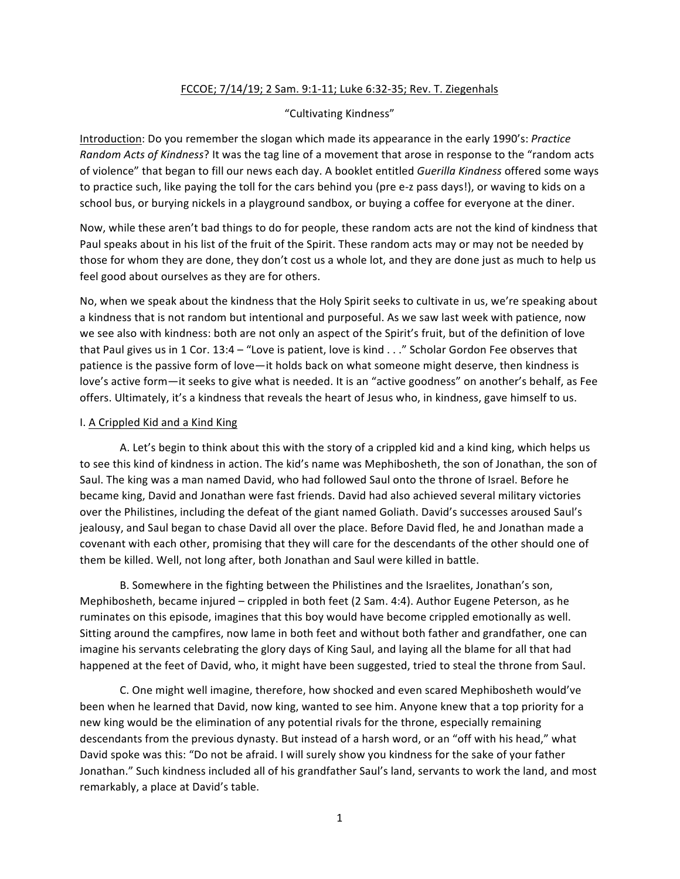# FCCOE; 7/14/19; 2 Sam. 9:1-11; Luke 6:32-35; Rev. T. Ziegenhals

# "Cultivating Kindness"

Introduction: Do you remember the slogan which made its appearance in the early 1990's: Practice *Random Acts of Kindness*? It was the tag line of a movement that arose in response to the "random acts of violence" that began to fill our news each day. A booklet entitled Guerilla Kindness offered some ways to practice such, like paying the toll for the cars behind you (pre e-z pass days!), or waving to kids on a school bus, or burying nickels in a playground sandbox, or buying a coffee for everyone at the diner.

Now, while these aren't bad things to do for people, these random acts are not the kind of kindness that Paul speaks about in his list of the fruit of the Spirit. These random acts may or may not be needed by those for whom they are done, they don't cost us a whole lot, and they are done just as much to help us feel good about ourselves as they are for others.

No, when we speak about the kindness that the Holy Spirit seeks to cultivate in us, we're speaking about a kindness that is not random but intentional and purposeful. As we saw last week with patience, now we see also with kindness: both are not only an aspect of the Spirit's fruit, but of the definition of love that Paul gives us in 1 Cor.  $13:4 -$  "Love is patient, love is kind . . ." Scholar Gordon Fee observes that patience is the passive form of love—it holds back on what someone might deserve, then kindness is love's active form—it seeks to give what is needed. It is an "active goodness" on another's behalf, as Fee offers. Ultimately, it's a kindness that reveals the heart of Jesus who, in kindness, gave himself to us.

# I. A Crippled Kid and a Kind King

A. Let's begin to think about this with the story of a crippled kid and a kind king, which helps us to see this kind of kindness in action. The kid's name was Mephibosheth, the son of Jonathan, the son of Saul. The king was a man named David, who had followed Saul onto the throne of Israel. Before he became king, David and Jonathan were fast friends. David had also achieved several military victories over the Philistines, including the defeat of the giant named Goliath. David's successes aroused Saul's jealousy, and Saul began to chase David all over the place. Before David fled, he and Jonathan made a covenant with each other, promising that they will care for the descendants of the other should one of them be killed. Well, not long after, both Jonathan and Saul were killed in battle.

B. Somewhere in the fighting between the Philistines and the Israelites, Jonathan's son, Mephibosheth, became injured – crippled in both feet (2 Sam. 4:4). Author Eugene Peterson, as he ruminates on this episode, imagines that this boy would have become crippled emotionally as well. Sitting around the campfires, now lame in both feet and without both father and grandfather, one can imagine his servants celebrating the glory days of King Saul, and laying all the blame for all that had happened at the feet of David, who, it might have been suggested, tried to steal the throne from Saul.

C. One might well imagine, therefore, how shocked and even scared Mephibosheth would've been when he learned that David, now king, wanted to see him. Anyone knew that a top priority for a new king would be the elimination of any potential rivals for the throne, especially remaining descendants from the previous dynasty. But instead of a harsh word, or an "off with his head," what David spoke was this: "Do not be afraid. I will surely show you kindness for the sake of your father Jonathan." Such kindness included all of his grandfather Saul's land, servants to work the land, and most remarkably, a place at David's table.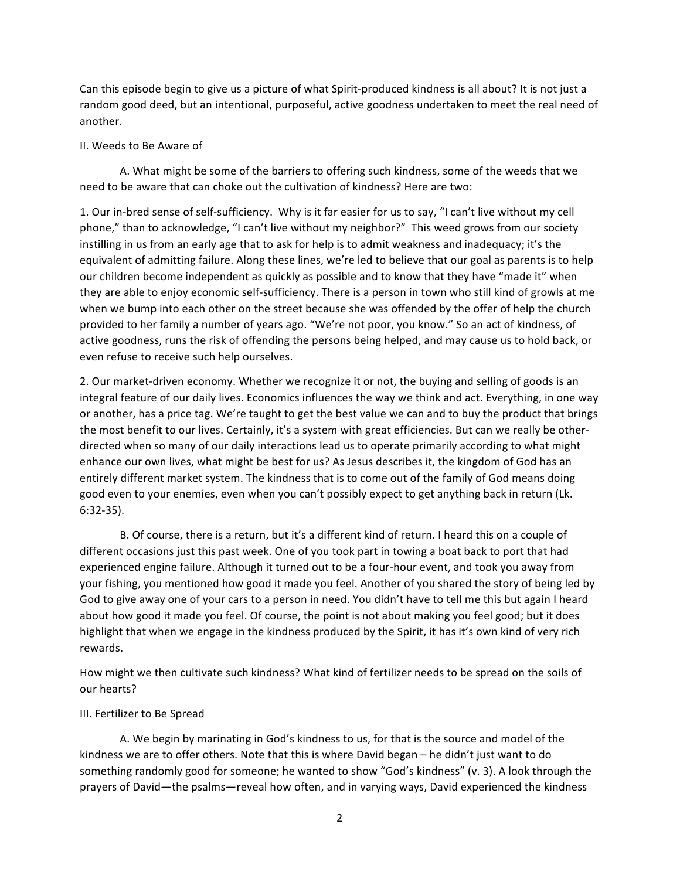Can this episode begin to give us a picture of what Spirit-produced kindness is all about? It is not just a random good deed, but an intentional, purposeful, active goodness undertaken to meet the real need of another. 

#### II. Weeds to Be Aware of

A. What might be some of the barriers to offering such kindness, some of the weeds that we need to be aware that can choke out the cultivation of kindness? Here are two:

1. Our in-bred sense of self-sufficiency. Why is it far easier for us to say, "I can't live without my cell phone," than to acknowledge, "I can't live without my neighbor?" This weed grows from our society instilling in us from an early age that to ask for help is to admit weakness and inadequacy; it's the equivalent of admitting failure. Along these lines, we're led to believe that our goal as parents is to help our children become independent as quickly as possible and to know that they have "made it" when they are able to enjoy economic self-sufficiency. There is a person in town who still kind of growls at me when we bump into each other on the street because she was offended by the offer of help the church provided to her family a number of years ago. "We're not poor, you know." So an act of kindness, of active goodness, runs the risk of offending the persons being helped, and may cause us to hold back, or even refuse to receive such help ourselves.

2. Our market-driven economy. Whether we recognize it or not, the buying and selling of goods is an integral feature of our daily lives. Economics influences the way we think and act. Everything, in one way or another, has a price tag. We're taught to get the best value we can and to buy the product that brings the most benefit to our lives. Certainly, it's a system with great efficiencies. But can we really be otherdirected when so many of our daily interactions lead us to operate primarily according to what might enhance our own lives, what might be best for us? As Jesus describes it, the kingdom of God has an entirely different market system. The kindness that is to come out of the family of God means doing good even to your enemies, even when you can't possibly expect to get anything back in return (Lk. 6:32-35).

B. Of course, there is a return, but it's a different kind of return. I heard this on a couple of different occasions just this past week. One of you took part in towing a boat back to port that had experienced engine failure. Although it turned out to be a four-hour event, and took you away from your fishing, you mentioned how good it made you feel. Another of you shared the story of being led by God to give away one of your cars to a person in need. You didn't have to tell me this but again I heard about how good it made you feel. Of course, the point is not about making you feel good; but it does highlight that when we engage in the kindness produced by the Spirit, it has it's own kind of very rich rewards. 

How might we then cultivate such kindness? What kind of fertilizer needs to be spread on the soils of our hearts?

#### III. Fertilizer to Be Spread

A. We begin by marinating in God's kindness to us, for that is the source and model of the kindness we are to offer others. Note that this is where David began  $-$  he didn't just want to do something randomly good for someone; he wanted to show "God's kindness" (v. 3). A look through the prayers of David—the psalms—reveal how often, and in varying ways, David experienced the kindness